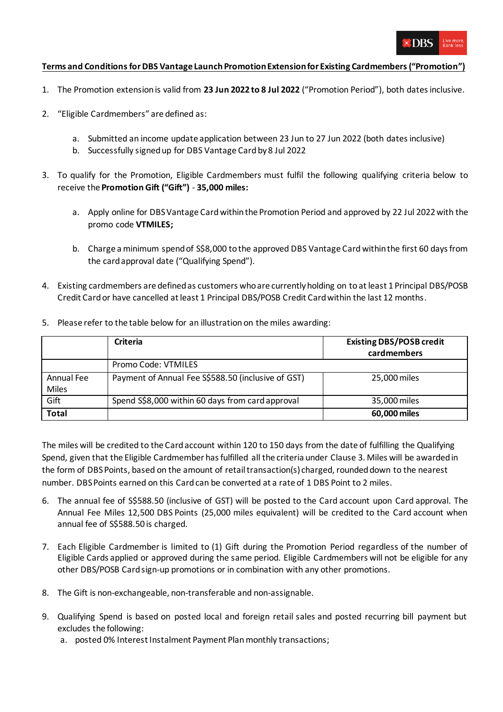

## **Terms and Conditions for DBS Vantage Launch PromotionExtensionfor Existing Cardmembers("Promotion")**

- 1. The Promotion extensionis valid from **23 Jun 2022 to 8 Jul 2022** ("Promotion Period"), both dates inclusive.
- 2. "Eligible Cardmembers" are defined as:
	- a. Submitted an income update application between 23 Jun to 27 Jun 2022 (both dates inclusive)
	- b. Successfully signed up for DBS Vantage Card by 8 Jul 2022
- 3. To qualify for the Promotion, Eligible Cardmembers must fulfil the following qualifying criteria below to receive the **Promotion Gift ("Gift")** - **35,000 miles:**
	- a. Apply online for DBS Vantage Card within the Promotion Period and approved by 22 Jul 2022 with the promo code **VTMILES;**
	- b. Charge a minimum spend of S\$8,000 to the approved DBS Vantage Card within the first 60 days from the card approval date ("Qualifying Spend").
- 4. Existing cardmembers are defined as customers who are currently holding on to at least 1 Principal DBS/POSB Credit Card or have cancelled at least 1 Principal DBS/POSB Credit Card within the last 12 months.
- 5. Please refer to the table below for an illustration on the miles awarding:

|                     | <b>Criteria</b>                                    | <b>Existing DBS/POSB credit</b><br>cardmembers |
|---------------------|----------------------------------------------------|------------------------------------------------|
|                     | Promo Code: VTMILES                                |                                                |
| Annual Fee<br>Miles | Payment of Annual Fee S\$588.50 (inclusive of GST) | 25,000 miles                                   |
| Gift                | Spend S\$8,000 within 60 days from card approval   | 35,000 miles                                   |
| <b>Total</b>        |                                                    | 60,000 miles                                   |

The miles will be credited to the Card account within 120 to 150 days from the date of fulfilling the Qualifying Spend, given that the Eligible Cardmember has fulfilled all the criteria under Clause 3. Miles will be awarded in the form of DBS Points, based on the amount of retail transaction(s) charged, rounded down to the nearest number. DBS Points earned on this Card can be converted at a rate of 1 DBS Point to 2 miles.

- 6. The annual fee of S\$588.50 (inclusive of GST) will be posted to the Card account upon Card approval. The Annual Fee Miles 12,500 DBS Points (25,000 miles equivalent) will be credited to the Card account when annual fee of S\$588.50 is charged.
- 7. Each Eligible Cardmember is limited to (1) Gift during the Promotion Period regardless of the number of Eligible Cards applied or approved during the same period. Eligible Cardmembers will not be eligible for any other DBS/POSB Card sign-up promotions or in combination with any other promotions.
- 8. The Gift is non-exchangeable, non-transferable and non-assignable.
- 9. Qualifying Spend is based on posted local and foreign retail sales and posted recurring bill payment but excludes the following:
	- a. posted 0% Interest Instalment Payment Plan monthly transactions;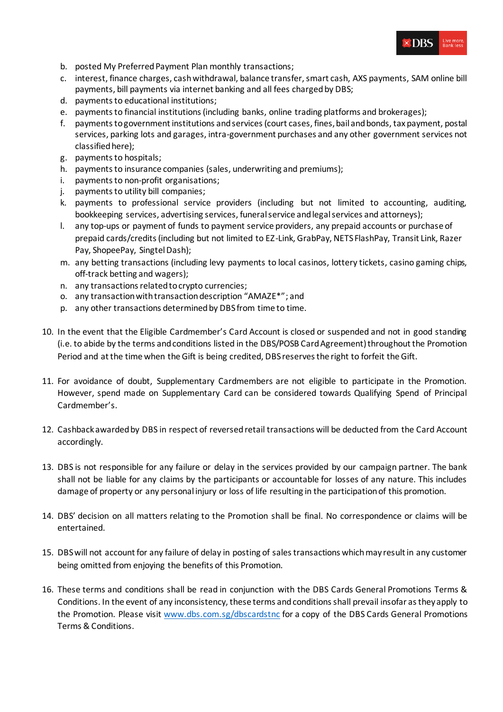

- b. posted My Preferred Payment Plan monthly transactions;
- c. interest, finance charges, cash withdrawal, balance transfer, smart cash, AXS payments, SAM online bill payments, bill payments via internet banking and all fees charged by DBS;
- d. payments to educational institutions;
- e. payments to financial institutions (including banks, online trading platforms and brokerages);
- f. payments to government institutions and services (court cases, fines, bail and bonds, tax payment, postal services, parking lots and garages, intra-government purchases and any other government services not classified here);
- g. payments to hospitals;
- h. payments to insurance companies (sales, underwriting and premiums);
- i. payments to non-profit organisations;
- j. payments to utility bill companies;
- k. payments to professional service providers (including but not limited to accounting, auditing, bookkeeping services, advertising services, funeral service and legal services and attorneys);
- l. any top-ups or payment of funds to payment service providers, any prepaid accounts or purchase of prepaid cards/credits (including but not limited to EZ-Link, GrabPay, NETS FlashPay, Transit Link, Razer Pay, ShopeePay, Singtel Dash);
- m. any betting transactions (including levy payments to local casinos, lottery tickets, casino gaming chips, off-track betting and wagers);
- n. any transactions related to crypto currencies;
- o. any transaction with transaction description "AMAZE\*"; and
- p. any other transactions determined by DBS from time to time.
- 10. In the event that the Eligible Cardmember's Card Account is closed or suspended and not in good standing (i.e. to abide by the terms and conditions listed in the DBS/POSB Card Agreement) throughout the Promotion Period and at the time when the Gift is being credited, DBS reserves the right to forfeit the Gift.
- 11. For avoidance of doubt, Supplementary Cardmembers are not eligible to participate in the Promotion. However, spend made on Supplementary Card can be considered towards Qualifying Spend of Principal Cardmember's.
- 12. Cashback awarded by DBS in respect of reversed retail transactions will be deducted from the Card Account accordingly.
- 13. DBS is not responsible for any failure or delay in the services provided by our campaign partner. The bank shall not be liable for any claims by the participants or accountable for losses of any nature. This includes damage of property or any personal injury or loss of life resulting in the participation of this promotion.
- 14. DBS' decision on all matters relating to the Promotion shall be final. No correspondence or claims will be entertained.
- 15. DBS will not account for any failure of delay in posting of sales transactions which may result in any customer being omitted from enjoying the benefits of this Promotion.
- 16. These terms and conditions shall be read in conjunction with the DBS Cards General Promotions Terms & Conditions. In the event of any inconsistency, these terms and conditions shall prevail insofar as they apply to the Promotion. Please visit [www.dbs.com.sg/dbscardstnc](http://www.dbs.com.sg/dbscardstnc) for a copy of the DBS Cards General Promotions Terms & Conditions.